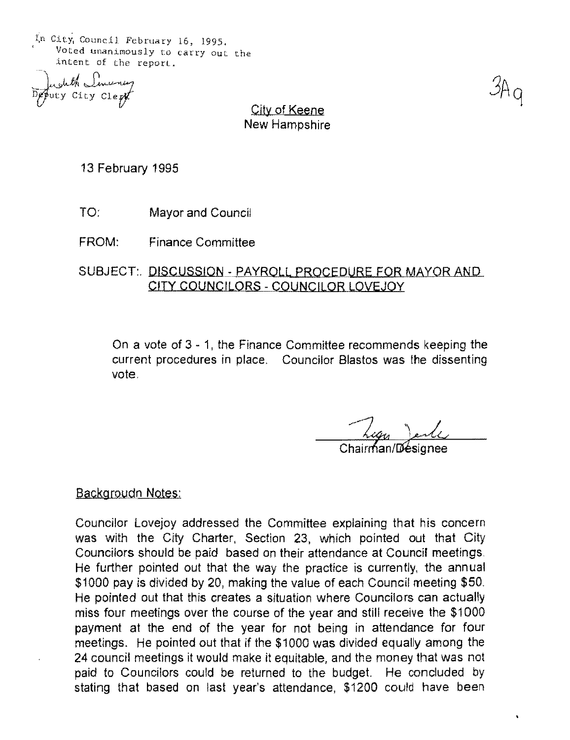In City, Council February 16, 1995. Voted unanimously to carry Out the intent of the reporL.

Deputy City Clept

City of Keene New Hampshire

13 February 1995

- TO: Mayor and Council
- FROM: Finance Committee

SUBJECT: DISCUSSION - PAYROLL PROCEDURE FOR MAYOR AND CITY COUNCILORS - COUNCILOR LOVEJOY

On a vote of 3 - 1, the Finance Committee recommends keeping the current procedures in place, Councilor Blastos was the dissenting vote,

## Chairman/Loesignee

## **Backgroudn Notes:**

Councilor Lovejoy addressed the Committee explaining that his concern was with the City Charter, Section 23, which pointed out that City Councilors should be paid based on their attendance at Council meetings, He further pointed out that the way the practice is currently, the annual \$1000 pay is divided by 20, making the value of each Council meeting \$50, He pointed out that this creates a situation where Councilors can actually miss four meetings over the course of the year and still receive the \$1000 payment at the end of the year for not being in attendance for four meetings. He pointed out that if the \$1000 was divided equally among the 24 council meetings it would make it equitable, and the money that was not paid to Councilors could be returned to the budget. He concluded by stating that based on last year's attendance, \$1200 could have been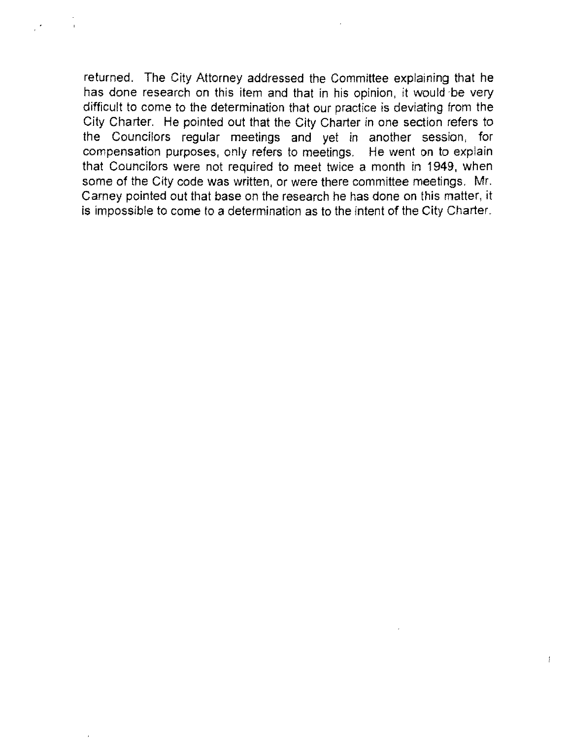returned. The City Attorney addressed the Committee explaining that he has done research on this item and that in his opinion, it would be very difficult to come to the determination that our practice is deviating from the City Charter. He pointed out that the City Charter in one section refers to the Councilors regular meetings and yet in another session, for compensation purposes, only refers to meetings. He went on to explain that Councilors were not required to meet twice a month in 1949, when some of the City code was written, or were there committee meetings. Mr. Carney pointed out that base on the research he has done on this matter, it is impossible to come to a determination as to the intent of the City Charter.

ţ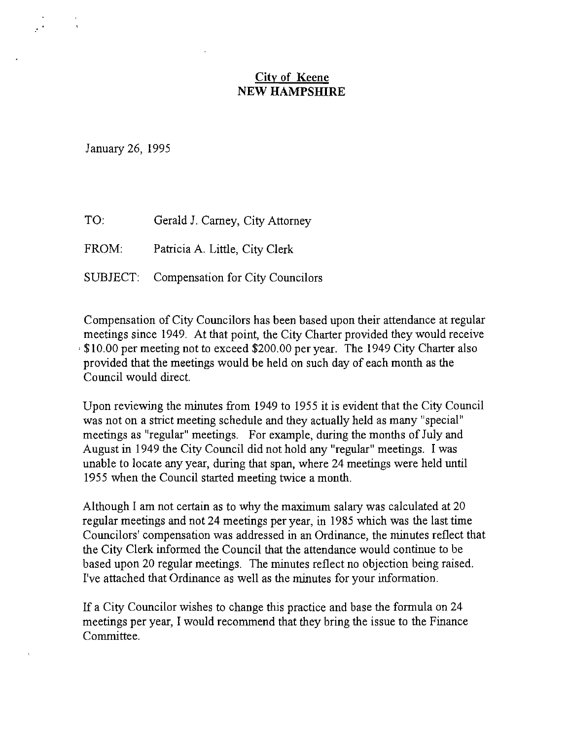## **City of Keene NEW HAMPSHIRE**

January 26, 1995

TO: Gerald J. Carney, City Attorney

FROM: Patricia A. Little, City Clerk

SUBJECT: Compensation for City Councilors

Compensation of City Councilors has been based upon their attendance at regular meetings since 1949. At that point, the City Charter provided they would receive . \$10.00 per meeting not to exceed \$200.00 per year. The 1949 City Charter also provided that the meetings would be held on such day of each month as the Council would direct.

Upon reviewing the minutes from 1949 to 1955 it is evident that the City Council was not on a strict meeting schedule and they actually held as many "special" meetings as "regular" meetings. For example, during the months of July and August in 1949 the City Council did not hold any "regular" meetings. I was unable to locate any year, during that span, where 24 meetings were held until 1955 when the Council started meeting twice a month.

Although I am not certain as to why the maximum salary was calculated at 20 regular meetings and not 24 meetings per year, in 1985 which was the last time Councilors' compensation was addressed in an Ordinance, the minutes reflect that the City Clerk informed the Council that the attendance would continue to be based upon 20 regular meetings. The minutes reflect no objection being raised. I've attached that Ordinance as well as the minutes for your information.

If a City Councilor wishes to change this practice and base the formula on 24 meetings per year, I would recommend that they bring the issue to the Finance Committee.